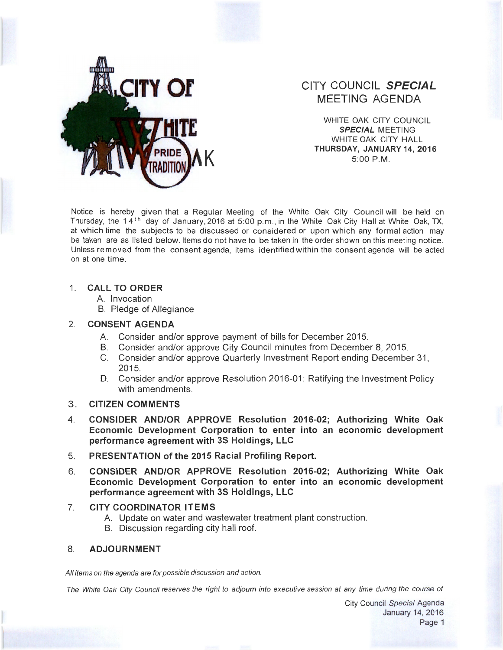

# **or CITY COUNCIL SPECIAL MEETING AGENDA**

WHITE OAK CITY COUNCIL **SPECIAL** MEETING WHITE OAK CITY HALL **THURSDAY, JANUARY 14, 2016 5:00 P.M.** 

Notice is hereby given that a Regular Meeting of the White Oak City Council will be held on Thursday, the 14<sup>th</sup> day of January, 2016 at 5:00 p.m., in the White Oak City Hall at White Oak, TX, at which time the subjects to be discussed or considered or upon which any formal action may be taken are as listed below. Items do not have to be taken in the order shown on this meeting notice. Unless removed from the consent agenda, items identified within the consent agenda will be acted on at one time.

#### 1. **CALL TO ORDER**

- A. Invocation
- B. Pledge of Allegiance

## 2. **CONSENT AGENDA**

- A. Consider and/or approve payment of bills for December 2015.
- B. Consider and/or approve City Council minutes from December 8, 2015.
- C. Consider and/or approve Quarterly Investment Report ending December 31 , 2015.
- D. Consider and/or approve Resolution 2016-01; Ratifying the Investment Policy with amendments.
- 3 . **CITIZEN COMMENTS**
- 4. **CONSIDER AND/OR APPROVE Resolution 2016-02; Authorizing White Oak Economic Development Corporation to enter into an economic development performance agreement with 3S Holdings, LLC**
- 5. **PRESENTATION of the 2015 Racial Profiling Report.**
- 6. **CONSIDER AND/OR APPROVE Resolution 2016-02; Authorizing White Oak Economic Development Corporation to enter into an economic development performance agreement with 3S Holdings, LLC**
- 7. **CITY COORDINATOR ITEMS** 
	- A. Update on water and wastewater treatment plant construction.
	- B. Discussion regarding city hall roof.

## 8. **ADJOURNMENT**

All items on the agenda are for possible discussion and action.

The White Oak City Council reserves the right to adjourn into executive session at any time during the course of

City Council Special Agenda January 14, 2016 Page 1